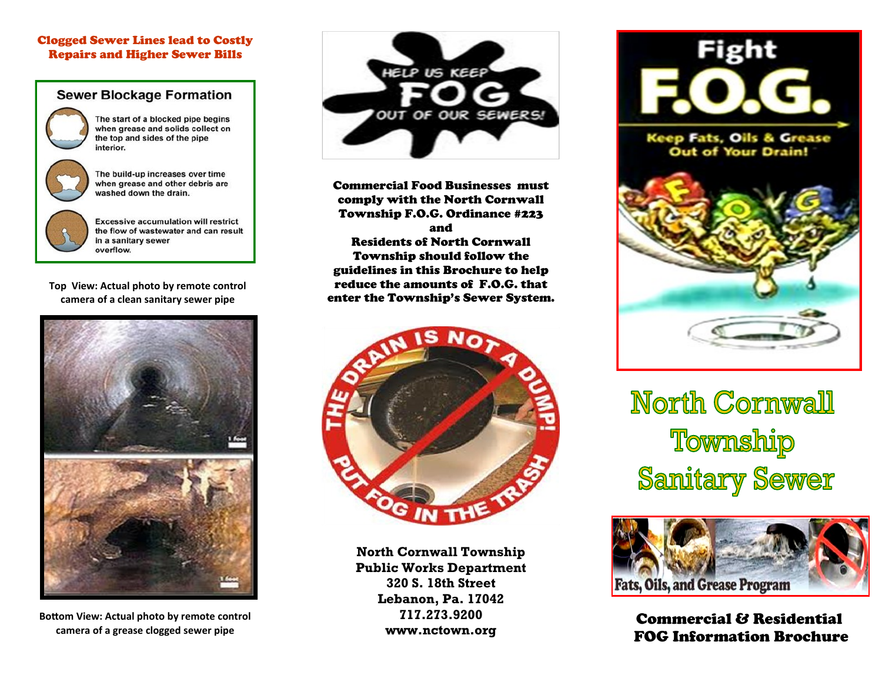#### Clogged Sewer Lines lead to Costly Repairs and Higher Sewer Bills

#### **Sewer Blockage Formation**

The start of a blocked pipe begins when grease and solids collect on

the top and sides of the pipe interior.



The build-up increases over time when grease and other debris are washed down the drain.



**Excessive accumulation will restrict** the flow of wastewater and can result in a sanitary sewer

**Top View: Actual photo by remote control camera of a clean sanitary sewer pipe**



**Bottom View: Actual photo by remote control camera of a grease clogged sewer pipe**



Commercial Food Businesses must comply with the North Cornwall Township F.O.G. Ordinance #223 and Residents of North Cornwall Township should follow the guidelines in this Brochure to help reduce the amounts of F.O.G. that enter the Township's Sewer System.



**North Cornwall Township Public Works Department 320 S. 18th Street Lebanon, Pa. 17042 717.273.9200 www.nctown.org**



**Keep Fats, Oils & Grease** Out of Your Drain!



**North Cornwall** Township **Sanitary Sewer** 



Commercial & Residential FOG Information Brochure